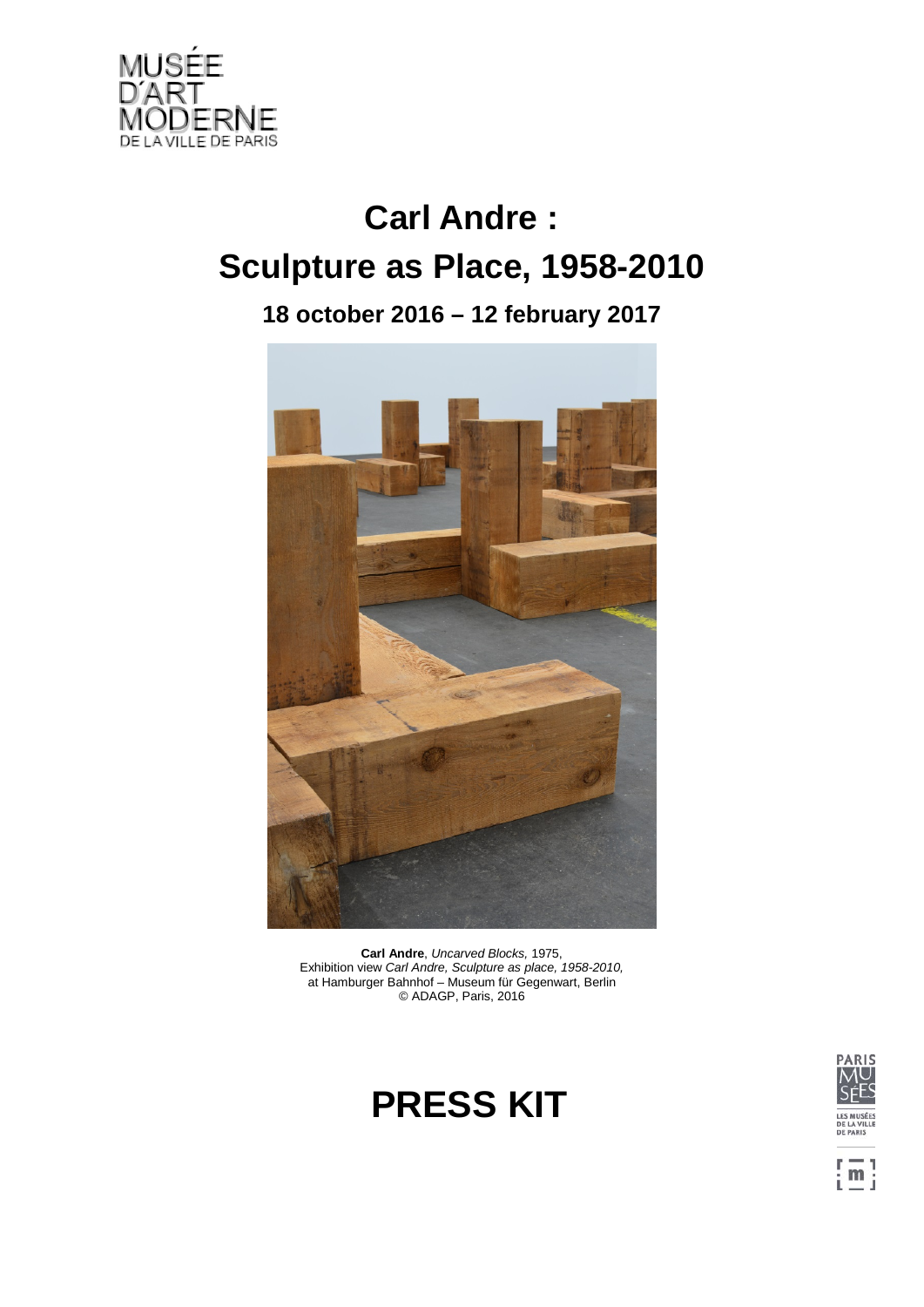

# **Carl Andre : Sculpture as Place, 1958-2010**

**18 october 2016 – 12 february 2017**



**Carl Andre**, *Uncarved Blocks,* 1975, Exhibition view *Carl Andre, Sculpture as place, 1958-2010,*  at Hamburger Bahnhof – Museum für Gegenwart, Berlin © ADAGP, Paris, 2016





 $\left[\frac{m}{m}\right]$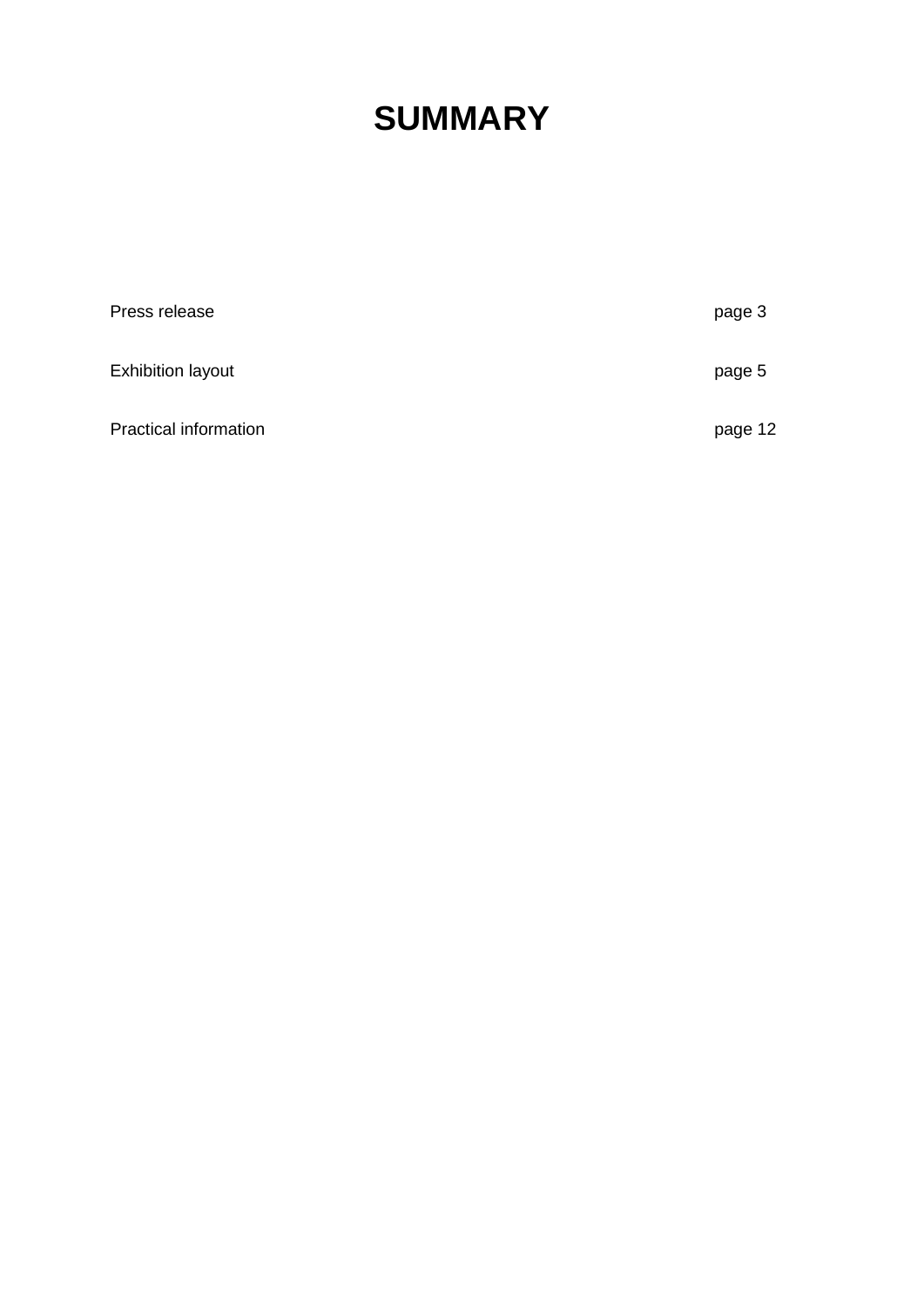## **SUMMARY**

| Press release                | page 3  |
|------------------------------|---------|
| <b>Exhibition layout</b>     | page 5  |
| <b>Practical information</b> | page 12 |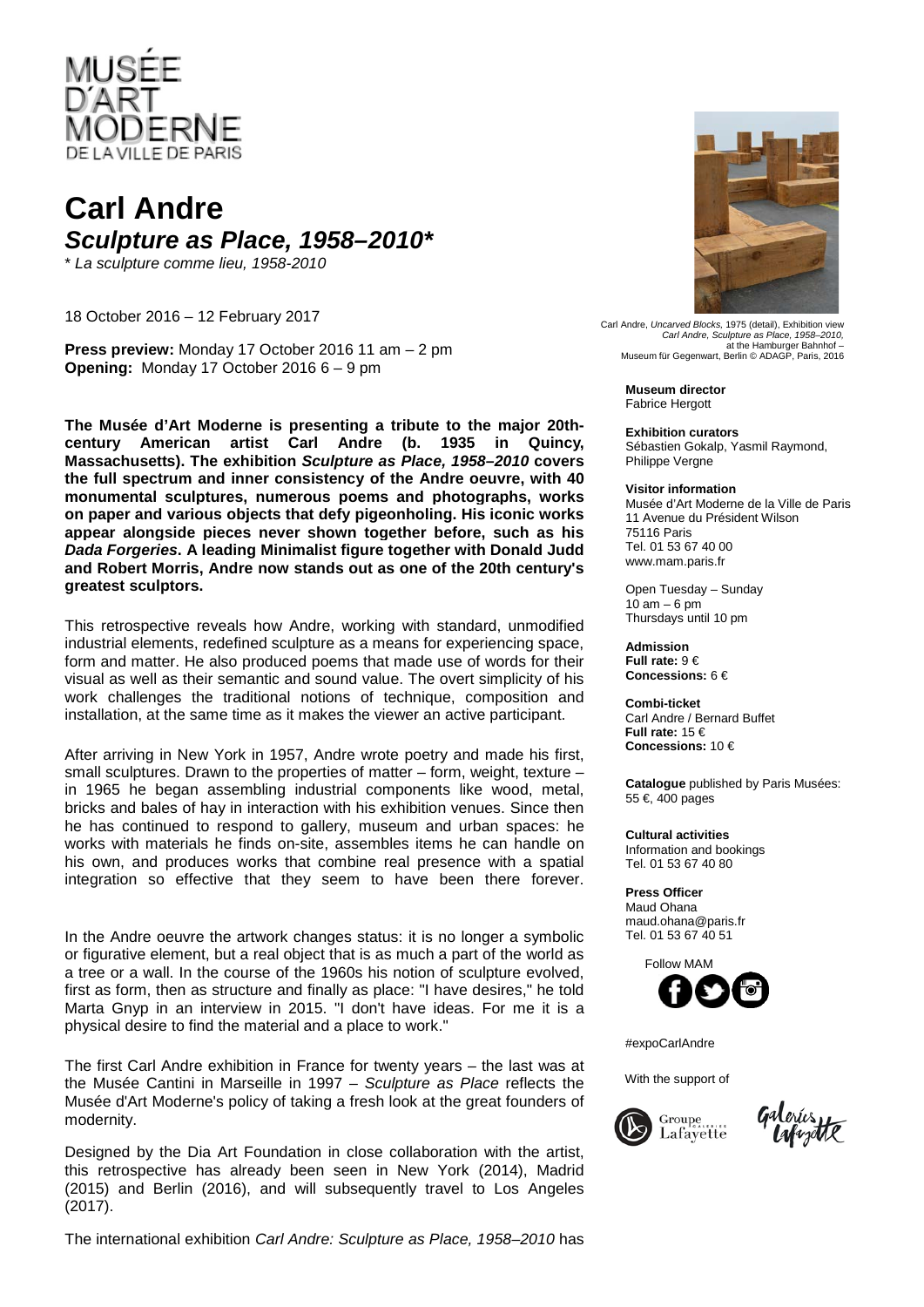

### **Carl Andre** *Sculpture as Place, 1958–2010\**

\* *La sculpture comme lieu, 1958-2010*

18 October 2016 – 12 February 2017

**Press preview:** Monday 17 October 2016 11 am – 2 pm **Opening:** Monday 17 October 2016 6 – 9 pm

**The Musée d'Art Moderne is presenting a tribute to the major 20thcentury American artist Carl Andre (b. 1935 in Quincy, Massachusetts). The exhibition** *Sculpture as Place, 1958–2010* **covers the full spectrum and inner consistency of the Andre oeuvre, with 40 monumental sculptures, numerous poems and photographs, works on paper and various objects that defy pigeonholing. His iconic works appear alongside pieces never shown together before, such as his**  *Dada Forgeries***. A leading Minimalist figure together with Donald Judd and Robert Morris, Andre now stands out as one of the 20th century's greatest sculptors.**

This retrospective reveals how Andre, working with standard, unmodified industrial elements, redefined sculpture as a means for experiencing space, form and matter. He also produced poems that made use of words for their visual as well as their semantic and sound value. The overt simplicity of his work challenges the traditional notions of technique, composition and installation, at the same time as it makes the viewer an active participant.

After arriving in New York in 1957, Andre wrote poetry and made his first, small sculptures. Drawn to the properties of matter – form, weight, texture – in 1965 he began assembling industrial components like wood, metal, bricks and bales of hay in interaction with his exhibition venues. Since then he has continued to respond to gallery, museum and urban spaces: he works with materials he finds on-site, assembles items he can handle on his own, and produces works that combine real presence with a spatial integration so effective that they seem to have been there forever.

In the Andre oeuvre the artwork changes status: it is no longer a symbolic or figurative element, but a real object that is as much a part of the world as a tree or a wall. In the course of the 1960s his notion of sculpture evolved, first as form, then as structure and finally as place: "I have desires," he told Marta Gnyp in an interview in 2015. "I don't have ideas. For me it is a physical desire to find the material and a place to work."

The first Carl Andre exhibition in France for twenty years – the last was at the Musée Cantini in Marseille in 1997 – *Sculpture as Place* reflects the Musée d'Art Moderne's policy of taking a fresh look at the great founders of modernity.

Designed by the Dia Art Foundation in close collaboration with the artist, this retrospective has already been seen in New York (2014), Madrid (2015) and Berlin (2016), and will subsequently travel to Los Angeles (2017).

The international exhibition *Carl Andre: Sculpture as Place, 1958–2010* has



Carl Andre, *Uncarved Blocks,* 1975 (detail), Exhibition view *Carl Andre, Sculpture as Place, 1958–2010,*  at the Hamburger Bahnhof – Museum für Gegenwart, Berlin © ADAGP, Paris, 2016

**Museum director** Fabrice Hergott

**Exhibition curators** Sébastien Gokalp, Yasmil Raymond, Philippe Vergne

**Visitor information**

Musée d'Art Moderne de la Ville de Paris 11 Avenue du Président Wilson 75116 Paris Tel. 01 53 67 40 00 www.mam.paris.fr

Open Tuesday – Sunday  $10$  am  $-6$  pm Thursdays until 10 pm

**Admission Full rate:** 9 € **Concessions:** 6 €

 **Combi-ticket**  Carl Andre / Bernard Buffet  **Full rate:** 15 €  **Concessions:** 10 €

**Catalogue** published by Paris Musées: 55 €, 400 pages

**Cultural activities** Information and bookings Tel. 01 53 67 40 80

**Press Officer** Maud Ohana maud.ohana@paris.fr Tel. 01 53 67 40 51

Follow MAM



#expoCarlAndre

With the support of

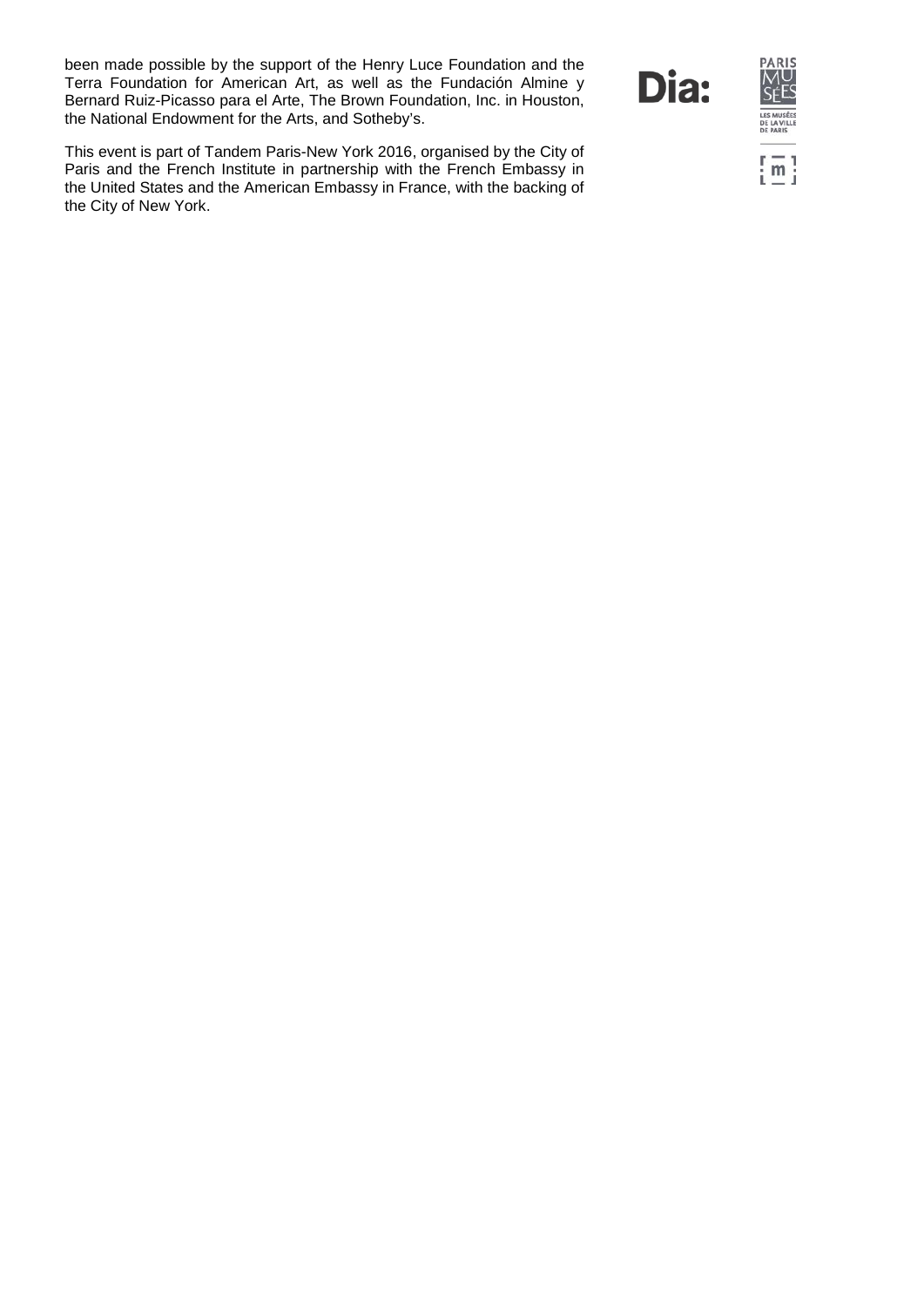been made possible by the support of the Henry Luce Foundation and the Terra Foundation for American Art, as well as the Fundación Almine y Bernard Ruiz-Picasso para el Arte, The Brown Foundation, Inc. in Houston, the National Endowment for the Arts, and Sotheby's.

This event is part of Tandem Paris-New York 2016, organised by the City of Paris and the French Institute in partnership with the French Embassy in the United States and the American Embassy in France, with the backing of the City of New York.

Dia:

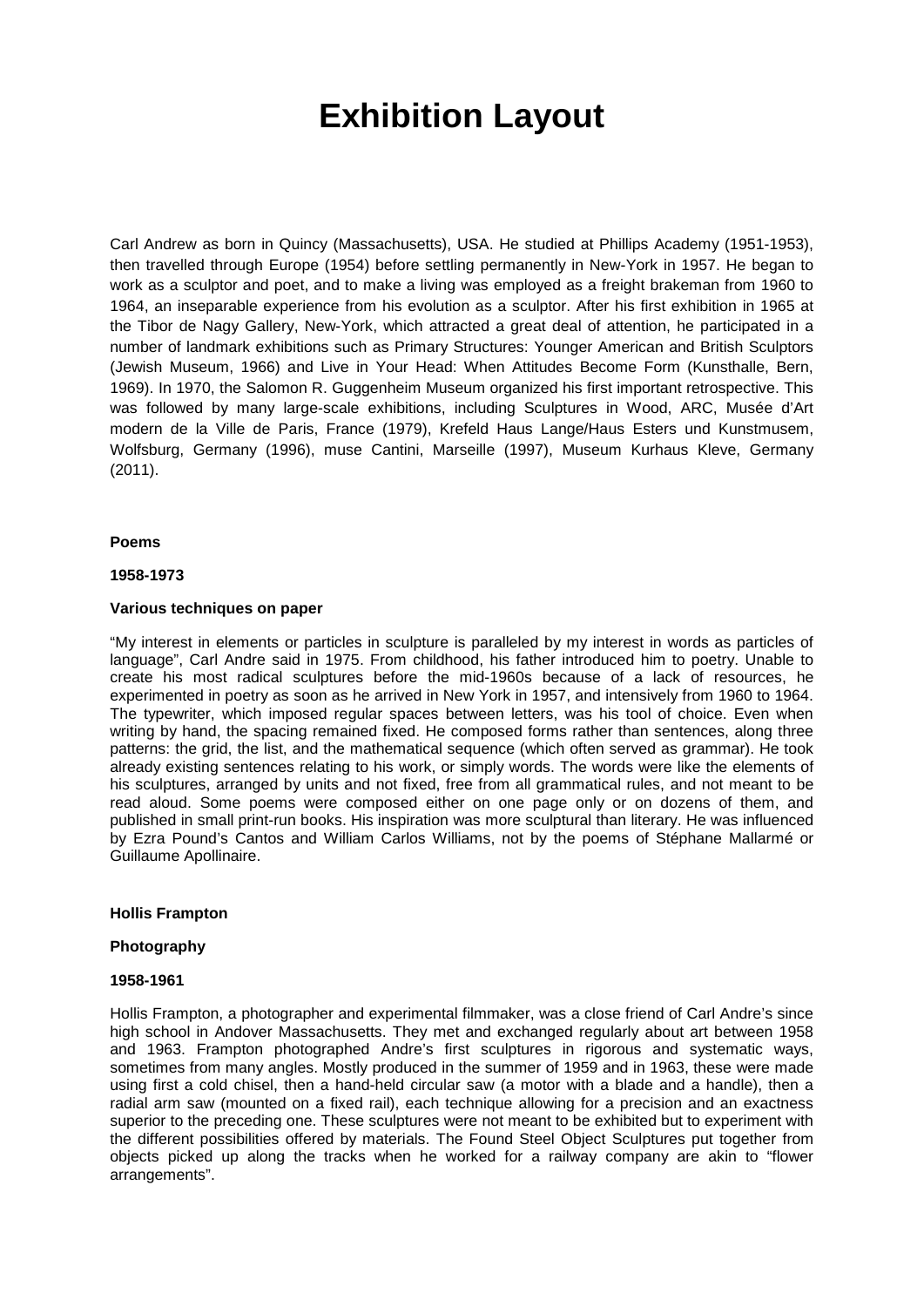### **Exhibition Layout**

Carl Andrew as born in Quincy (Massachusetts), USA. He studied at Phillips Academy (1951-1953), then travelled through Europe (1954) before settling permanently in New-York in 1957. He began to work as a sculptor and poet, and to make a living was employed as a freight brakeman from 1960 to 1964, an inseparable experience from his evolution as a sculptor. After his first exhibition in 1965 at the Tibor de Nagy Gallery, New-York, which attracted a great deal of attention, he participated in a number of landmark exhibitions such as Primary Structures: Younger American and British Sculptors (Jewish Museum, 1966) and Live in Your Head: When Attitudes Become Form (Kunsthalle, Bern, 1969). In 1970, the Salomon R. Guggenheim Museum organized his first important retrospective. This was followed by many large-scale exhibitions, including Sculptures in Wood, ARC, Musée d'Art modern de la Ville de Paris, France (1979), Krefeld Haus Lange/Haus Esters und Kunstmusem, Wolfsburg, Germany (1996), muse Cantini, Marseille (1997), Museum Kurhaus Kleve, Germany (2011).

#### **Poems**

#### **1958-1973**

#### **Various techniques on paper**

"My interest in elements or particles in sculpture is paralleled by my interest in words as particles of language", Carl Andre said in 1975. From childhood, his father introduced him to poetry. Unable to create his most radical sculptures before the mid-1960s because of a lack of resources, he experimented in poetry as soon as he arrived in New York in 1957, and intensively from 1960 to 1964. The typewriter, which imposed regular spaces between letters, was his tool of choice. Even when writing by hand, the spacing remained fixed. He composed forms rather than sentences, along three patterns: the grid, the list, and the mathematical sequence (which often served as grammar). He took already existing sentences relating to his work, or simply words. The words were like the elements of his sculptures, arranged by units and not fixed, free from all grammatical rules, and not meant to be read aloud. Some poems were composed either on one page only or on dozens of them, and published in small print-run books. His inspiration was more sculptural than literary. He was influenced by Ezra Pound's Cantos and William Carlos Williams, not by the poems of Stéphane Mallarmé or Guillaume Apollinaire.

#### **Hollis Frampton**

#### **Photography**

#### **1958-1961**

Hollis Frampton, a photographer and experimental filmmaker, was a close friend of Carl Andre's since high school in Andover Massachusetts. They met and exchanged regularly about art between 1958 and 1963. Frampton photographed Andre's first sculptures in rigorous and systematic ways, sometimes from many angles. Mostly produced in the summer of 1959 and in 1963, these were made using first a cold chisel, then a hand-held circular saw (a motor with a blade and a handle), then a radial arm saw (mounted on a fixed rail), each technique allowing for a precision and an exactness superior to the preceding one. These sculptures were not meant to be exhibited but to experiment with the different possibilities offered by materials. The Found Steel Object Sculptures put together from objects picked up along the tracks when he worked for a railway company are akin to "flower arrangements".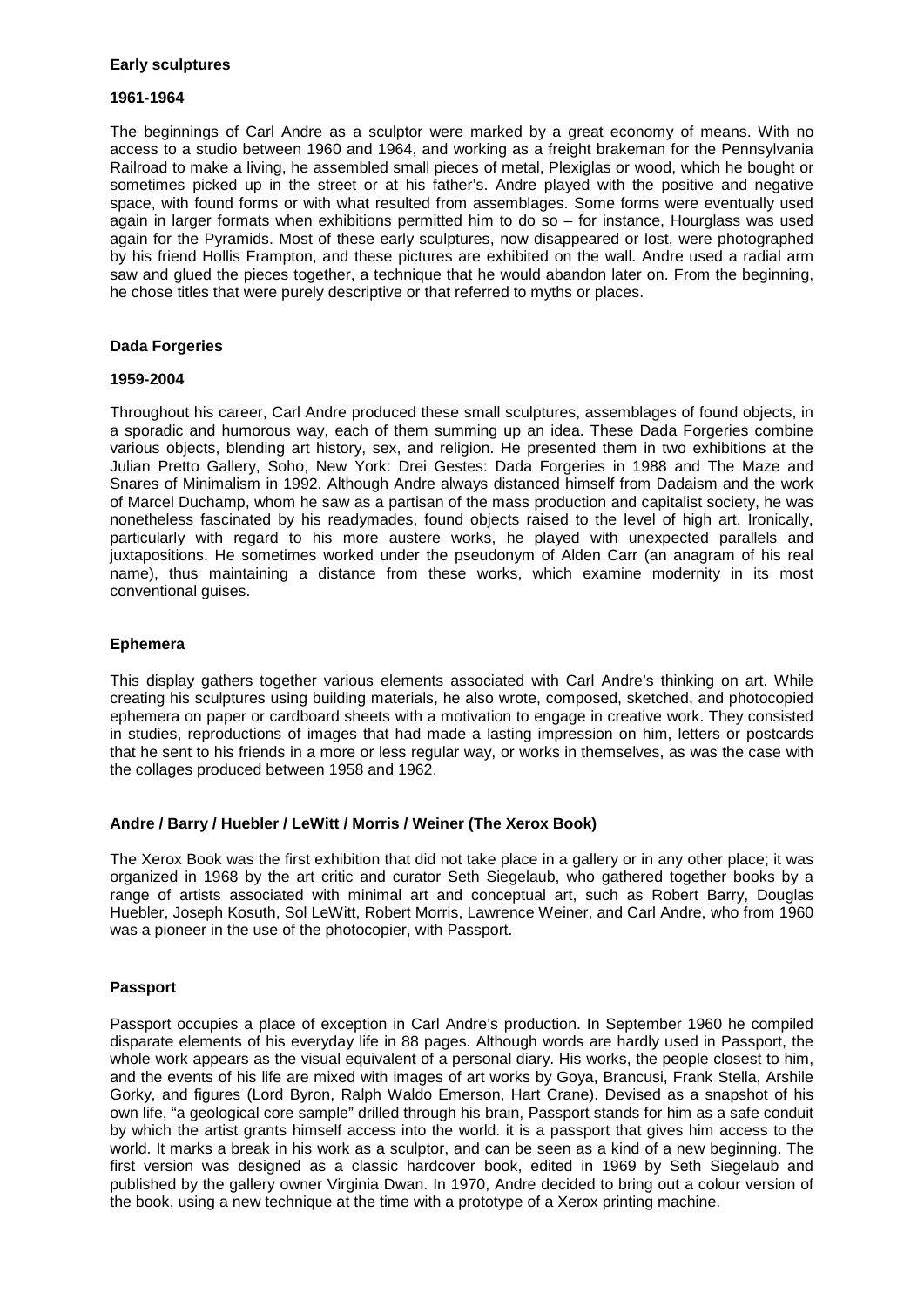#### **Early sculptures**

#### **1961-1964**

The beginnings of Carl Andre as a sculptor were marked by a great economy of means. With no access to a studio between 1960 and 1964, and working as a freight brakeman for the Pennsylvania Railroad to make a living, he assembled small pieces of metal, Plexiglas or wood, which he bought or sometimes picked up in the street or at his father's. Andre played with the positive and negative space, with found forms or with what resulted from assemblages. Some forms were eventually used again in larger formats when exhibitions permitted him to do so – for instance, Hourglass was used again for the Pyramids. Most of these early sculptures, now disappeared or lost, were photographed by his friend Hollis Frampton, and these pictures are exhibited on the wall. Andre used a radial arm saw and glued the pieces together, a technique that he would abandon later on. From the beginning, he chose titles that were purely descriptive or that referred to myths or places.

#### **Dada Forgeries**

#### **1959-2004**

Throughout his career, Carl Andre produced these small sculptures, assemblages of found objects, in a sporadic and humorous way, each of them summing up an idea. These Dada Forgeries combine various objects, blending art history, sex, and religion. He presented them in two exhibitions at the Julian Pretto Gallery, Soho, New York: Drei Gestes: Dada Forgeries in 1988 and The Maze and Snares of Minimalism in 1992. Although Andre always distanced himself from Dadaism and the work of Marcel Duchamp, whom he saw as a partisan of the mass production and capitalist society, he was nonetheless fascinated by his readymades, found objects raised to the level of high art. Ironically, particularly with regard to his more austere works, he played with unexpected parallels and juxtapositions. He sometimes worked under the pseudonym of Alden Carr (an anagram of his real name), thus maintaining a distance from these works, which examine modernity in its most conventional guises.

#### **Ephemera**

This display gathers together various elements associated with Carl Andre's thinking on art. While creating his sculptures using building materials, he also wrote, composed, sketched, and photocopied ephemera on paper or cardboard sheets with a motivation to engage in creative work. They consisted in studies, reproductions of images that had made a lasting impression on him, letters or postcards that he sent to his friends in a more or less regular way, or works in themselves, as was the case with the collages produced between 1958 and 1962.

#### **Andre / Barry / Huebler / LeWitt / Morris / Weiner (The Xerox Book)**

The Xerox Book was the first exhibition that did not take place in a gallery or in any other place; it was organized in 1968 by the art critic and curator Seth Siegelaub, who gathered together books by a range of artists associated with minimal art and conceptual art, such as Robert Barry, Douglas Huebler, Joseph Kosuth, Sol LeWitt, Robert Morris, Lawrence Weiner, and Carl Andre, who from 1960 was a pioneer in the use of the photocopier, with Passport.

#### **Passport**

Passport occupies a place of exception in Carl Andre's production. In September 1960 he compiled disparate elements of his everyday life in 88 pages. Although words are hardly used in Passport, the whole work appears as the visual equivalent of a personal diary. His works, the people closest to him, and the events of his life are mixed with images of art works by Goya, Brancusi, Frank Stella, Arshile Gorky, and figures (Lord Byron, Ralph Waldo Emerson, Hart Crane). Devised as a snapshot of his own life, "a geological core sample" drilled through his brain, Passport stands for him as a safe conduit by which the artist grants himself access into the world. it is a passport that gives him access to the world. It marks a break in his work as a sculptor, and can be seen as a kind of a new beginning. The first version was designed as a classic hardcover book, edited in 1969 by Seth Siegelaub and published by the gallery owner Virginia Dwan. In 1970, Andre decided to bring out a colour version of the book, using a new technique at the time with a prototype of a Xerox printing machine.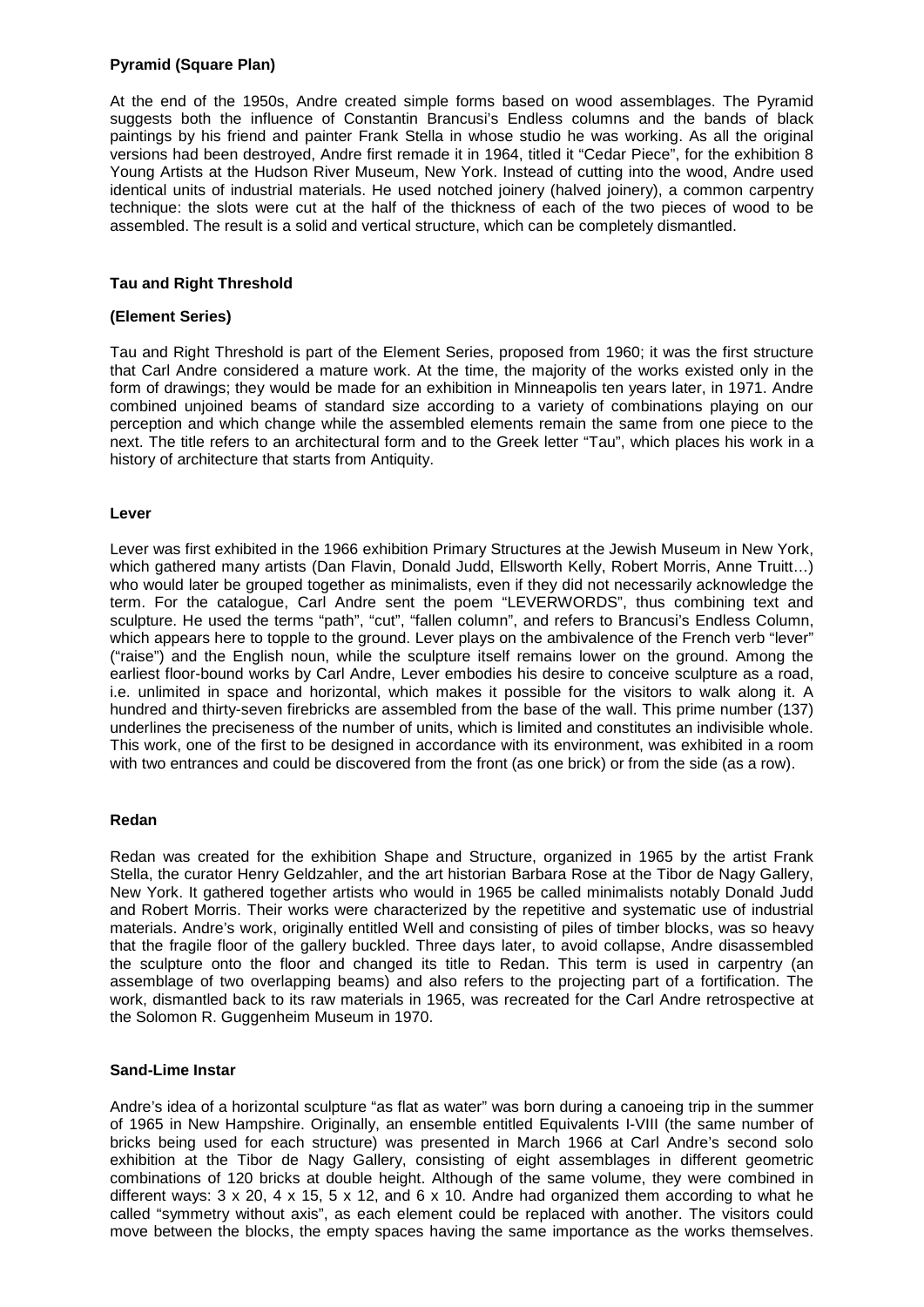#### **Pyramid (Square Plan)**

At the end of the 1950s, Andre created simple forms based on wood assemblages. The Pyramid suggests both the influence of Constantin Brancusi's Endless columns and the bands of black paintings by his friend and painter Frank Stella in whose studio he was working. As all the original versions had been destroyed, Andre first remade it in 1964, titled it "Cedar Piece", for the exhibition 8 Young Artists at the Hudson River Museum, New York. Instead of cutting into the wood, Andre used identical units of industrial materials. He used notched joinery (halved joinery), a common carpentry technique: the slots were cut at the half of the thickness of each of the two pieces of wood to be assembled. The result is a solid and vertical structure, which can be completely dismantled.

#### **Tau and Right Threshold**

#### **(Element Series)**

Tau and Right Threshold is part of the Element Series, proposed from 1960; it was the first structure that Carl Andre considered a mature work. At the time, the majority of the works existed only in the form of drawings; they would be made for an exhibition in Minneapolis ten years later, in 1971. Andre combined unjoined beams of standard size according to a variety of combinations playing on our perception and which change while the assembled elements remain the same from one piece to the next. The title refers to an architectural form and to the Greek letter "Tau", which places his work in a history of architecture that starts from Antiquity.

#### **Lever**

Lever was first exhibited in the 1966 exhibition Primary Structures at the Jewish Museum in New York, which gathered many artists (Dan Flavin, Donald Judd, Ellsworth Kelly, Robert Morris, Anne Truitt...) who would later be grouped together as minimalists, even if they did not necessarily acknowledge the term. For the catalogue, Carl Andre sent the poem "LEVERWORDS", thus combining text and sculpture. He used the terms "path", "cut", "fallen column", and refers to Brancusi's Endless Column, which appears here to topple to the ground. Lever plays on the ambivalence of the French verb "lever" ("raise") and the English noun, while the sculpture itself remains lower on the ground. Among the earliest floor-bound works by Carl Andre, Lever embodies his desire to conceive sculpture as a road, i.e. unlimited in space and horizontal, which makes it possible for the visitors to walk along it. A hundred and thirty-seven firebricks are assembled from the base of the wall. This prime number (137) underlines the preciseness of the number of units, which is limited and constitutes an indivisible whole. This work, one of the first to be designed in accordance with its environment, was exhibited in a room with two entrances and could be discovered from the front (as one brick) or from the side (as a row).

#### **Redan**

Redan was created for the exhibition Shape and Structure, organized in 1965 by the artist Frank Stella, the curator Henry Geldzahler, and the art historian Barbara Rose at the Tibor de Nagy Gallery, New York. It gathered together artists who would in 1965 be called minimalists notably Donald Judd and Robert Morris. Their works were characterized by the repetitive and systematic use of industrial materials. Andre's work, originally entitled Well and consisting of piles of timber blocks, was so heavy that the fragile floor of the gallery buckled. Three days later, to avoid collapse, Andre disassembled the sculpture onto the floor and changed its title to Redan. This term is used in carpentry (an assemblage of two overlapping beams) and also refers to the projecting part of a fortification. The work, dismantled back to its raw materials in 1965, was recreated for the Carl Andre retrospective at the Solomon R. Guggenheim Museum in 1970.

#### **Sand-Lime Instar**

Andre's idea of a horizontal sculpture "as flat as water" was born during a canoeing trip in the summer of 1965 in New Hampshire. Originally, an ensemble entitled Equivalents I-VIII (the same number of bricks being used for each structure) was presented in March 1966 at Carl Andre's second solo exhibition at the Tibor de Nagy Gallery, consisting of eight assemblages in different geometric combinations of 120 bricks at double height. Although of the same volume, they were combined in different ways: 3 x 20, 4 x 15, 5 x 12, and 6 x 10. Andre had organized them according to what he called "symmetry without axis", as each element could be replaced with another. The visitors could move between the blocks, the empty spaces having the same importance as the works themselves.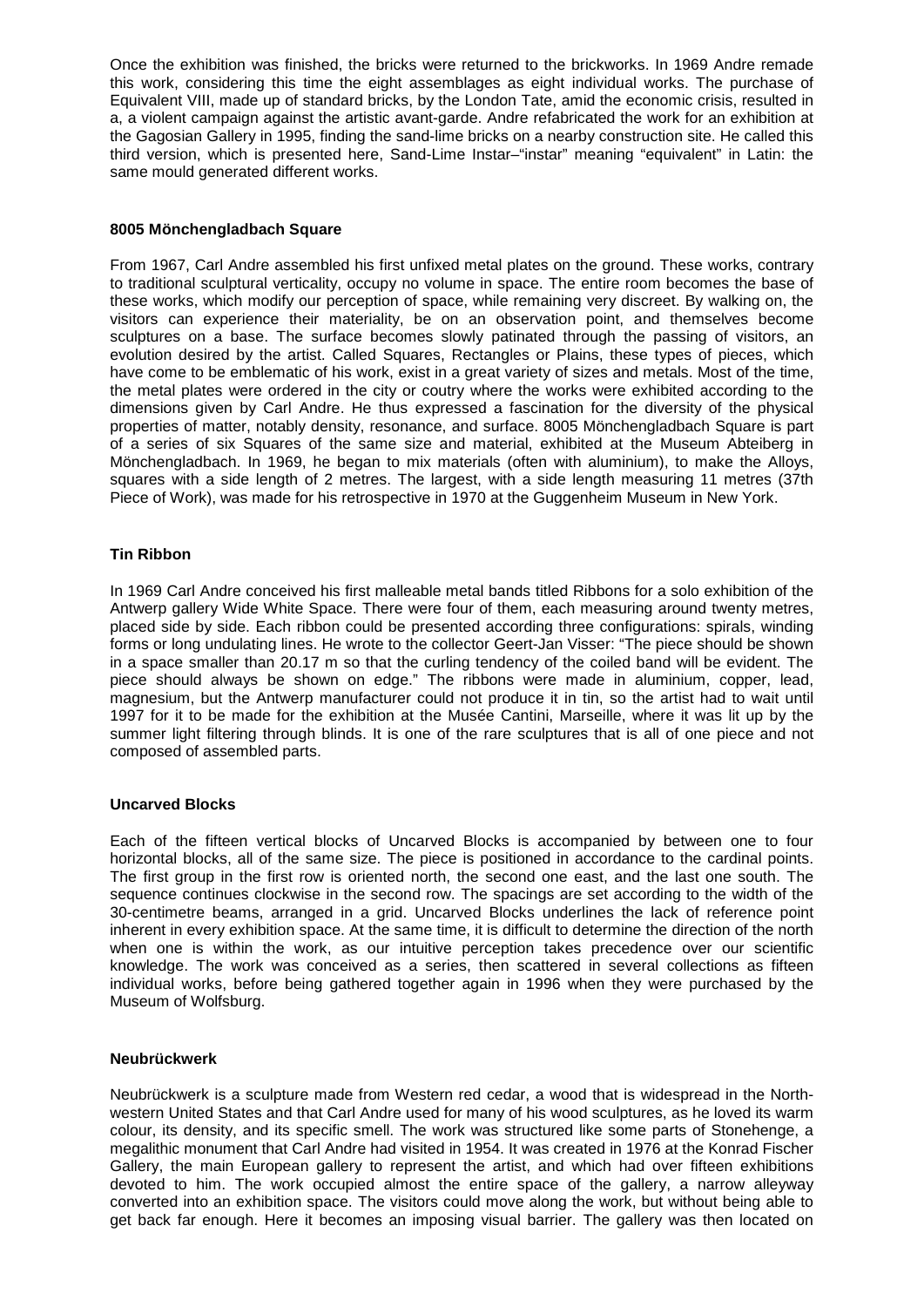Once the exhibition was finished, the bricks were returned to the brickworks. In 1969 Andre remade this work, considering this time the eight assemblages as eight individual works. The purchase of Equivalent VIII, made up of standard bricks, by the London Tate, amid the economic crisis, resulted in a, a violent campaign against the artistic avant-garde. Andre refabricated the work for an exhibition at the Gagosian Gallery in 1995, finding the sand-lime bricks on a nearby construction site. He called this third version, which is presented here, Sand-Lime Instar–"instar" meaning "equivalent" in Latin: the same mould generated different works.

#### **8005 Mönchengladbach Square**

From 1967, Carl Andre assembled his first unfixed metal plates on the ground. These works, contrary to traditional sculptural verticality, occupy no volume in space. The entire room becomes the base of these works, which modify our perception of space, while remaining very discreet. By walking on, the visitors can experience their materiality, be on an observation point, and themselves become sculptures on a base. The surface becomes slowly patinated through the passing of visitors, an evolution desired by the artist. Called Squares, Rectangles or Plains, these types of pieces, which have come to be emblematic of his work, exist in a great variety of sizes and metals. Most of the time, the metal plates were ordered in the city or coutry where the works were exhibited according to the dimensions given by Carl Andre. He thus expressed a fascination for the diversity of the physical properties of matter, notably density, resonance, and surface. 8005 Mönchengladbach Square is part of a series of six Squares of the same size and material, exhibited at the Museum Abteiberg in Mönchengladbach. In 1969, he began to mix materials (often with aluminium), to make the Alloys, squares with a side length of 2 metres. The largest, with a side length measuring 11 metres (37th Piece of Work), was made for his retrospective in 1970 at the Guggenheim Museum in New York.

#### **Tin Ribbon**

In 1969 Carl Andre conceived his first malleable metal bands titled Ribbons for a solo exhibition of the Antwerp gallery Wide White Space. There were four of them, each measuring around twenty metres, placed side by side. Each ribbon could be presented according three configurations: spirals, winding forms or long undulating lines. He wrote to the collector Geert-Jan Visser: "The piece should be shown in a space smaller than 20.17 m so that the curling tendency of the coiled band will be evident. The piece should always be shown on edge." The ribbons were made in aluminium, copper, lead, magnesium, but the Antwerp manufacturer could not produce it in tin, so the artist had to wait until 1997 for it to be made for the exhibition at the Musée Cantini, Marseille, where it was lit up by the summer light filtering through blinds. It is one of the rare sculptures that is all of one piece and not composed of assembled parts.

#### **Uncarved Blocks**

Each of the fifteen vertical blocks of Uncarved Blocks is accompanied by between one to four horizontal blocks, all of the same size. The piece is positioned in accordance to the cardinal points. The first group in the first row is oriented north, the second one east, and the last one south. The sequence continues clockwise in the second row. The spacings are set according to the width of the 30-centimetre beams, arranged in a grid. Uncarved Blocks underlines the lack of reference point inherent in every exhibition space. At the same time, it is difficult to determine the direction of the north when one is within the work, as our intuitive perception takes precedence over our scientific knowledge. The work was conceived as a series, then scattered in several collections as fifteen individual works, before being gathered together again in 1996 when they were purchased by the Museum of Wolfsburg.

#### **Neubrückwerk**

Neubrückwerk is a sculpture made from Western red cedar, a wood that is widespread in the Northwestern United States and that Carl Andre used for many of his wood sculptures, as he loved its warm colour, its density, and its specific smell. The work was structured like some parts of Stonehenge, a megalithic monument that Carl Andre had visited in 1954. It was created in 1976 at the Konrad Fischer Gallery, the main European gallery to represent the artist, and which had over fifteen exhibitions devoted to him. The work occupied almost the entire space of the gallery, a narrow alleyway converted into an exhibition space. The visitors could move along the work, but without being able to get back far enough. Here it becomes an imposing visual barrier. The gallery was then located on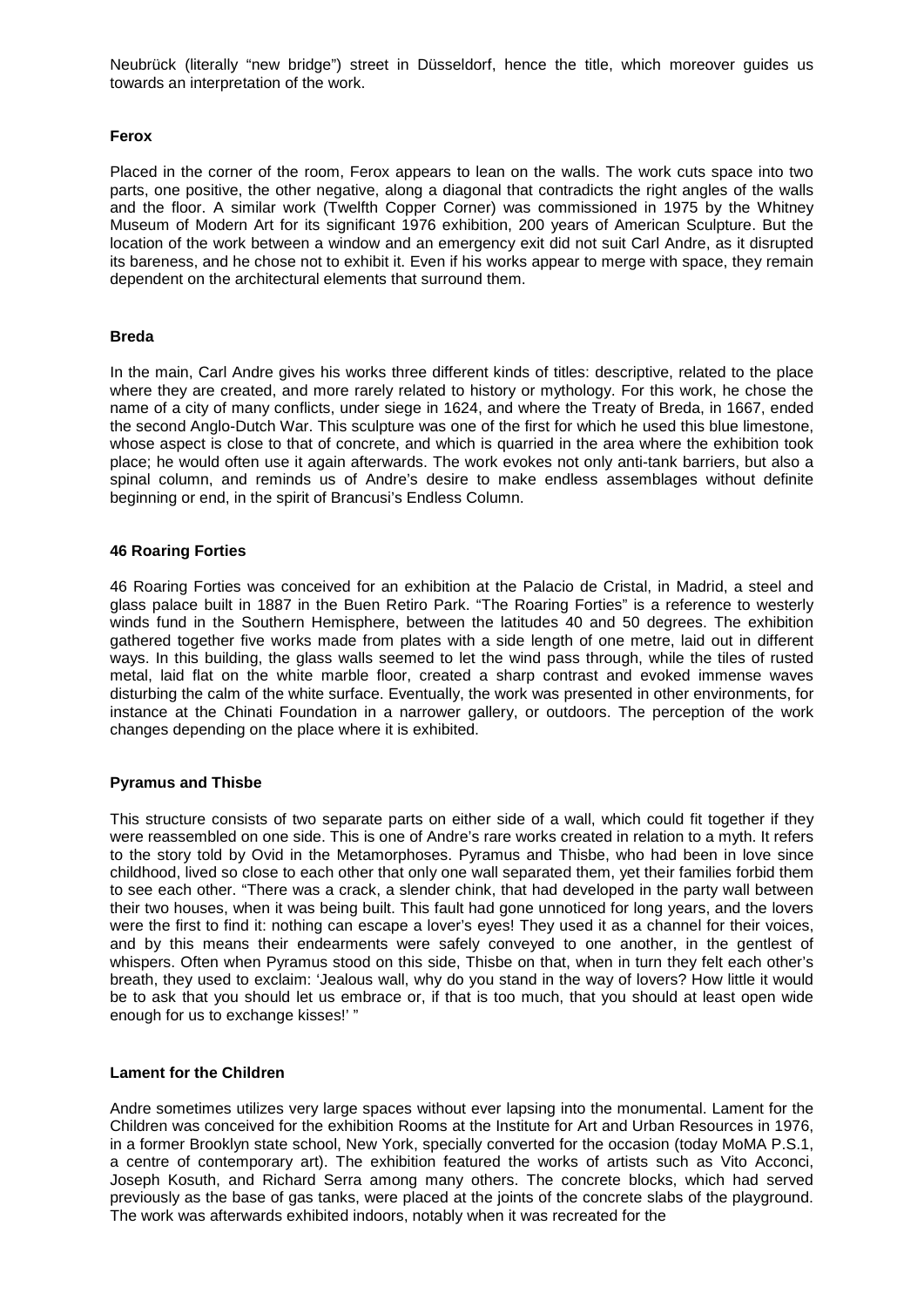Neubrück (literally "new bridge") street in Düsseldorf, hence the title, which moreover guides us towards an interpretation of the work.

#### **Ferox**

Placed in the corner of the room, Ferox appears to lean on the walls. The work cuts space into two parts, one positive, the other negative, along a diagonal that contradicts the right angles of the walls and the floor. A similar work (Twelfth Copper Corner) was commissioned in 1975 by the Whitney Museum of Modern Art for its significant 1976 exhibition, 200 years of American Sculpture. But the location of the work between a window and an emergency exit did not suit Carl Andre, as it disrupted its bareness, and he chose not to exhibit it. Even if his works appear to merge with space, they remain dependent on the architectural elements that surround them.

#### **Breda**

In the main, Carl Andre gives his works three different kinds of titles: descriptive, related to the place where they are created, and more rarely related to history or mythology. For this work, he chose the name of a city of many conflicts, under siege in 1624, and where the Treaty of Breda, in 1667, ended the second Anglo-Dutch War. This sculpture was one of the first for which he used this blue limestone, whose aspect is close to that of concrete, and which is quarried in the area where the exhibition took place; he would often use it again afterwards. The work evokes not only anti-tank barriers, but also a spinal column, and reminds us of Andre's desire to make endless assemblages without definite beginning or end, in the spirit of Brancusi's Endless Column.

#### **46 Roaring Forties**

46 Roaring Forties was conceived for an exhibition at the Palacio de Cristal, in Madrid, a steel and glass palace built in 1887 in the Buen Retiro Park. "The Roaring Forties" is a reference to westerly winds fund in the Southern Hemisphere, between the latitudes 40 and 50 degrees. The exhibition gathered together five works made from plates with a side length of one metre, laid out in different ways. In this building, the glass walls seemed to let the wind pass through, while the tiles of rusted metal, laid flat on the white marble floor, created a sharp contrast and evoked immense waves disturbing the calm of the white surface. Eventually, the work was presented in other environments, for instance at the Chinati Foundation in a narrower gallery, or outdoors. The perception of the work changes depending on the place where it is exhibited.

#### **Pyramus and Thisbe**

This structure consists of two separate parts on either side of a wall, which could fit together if they were reassembled on one side. This is one of Andre's rare works created in relation to a myth. It refers to the story told by Ovid in the Metamorphoses. Pyramus and Thisbe, who had been in love since childhood, lived so close to each other that only one wall separated them, yet their families forbid them to see each other. "There was a crack, a slender chink, that had developed in the party wall between their two houses, when it was being built. This fault had gone unnoticed for long years, and the lovers were the first to find it: nothing can escape a lover's eyes! They used it as a channel for their voices, and by this means their endearments were safely conveyed to one another, in the gentlest of whispers. Often when Pyramus stood on this side, Thisbe on that, when in turn they felt each other's breath, they used to exclaim: 'Jealous wall, why do you stand in the way of lovers? How little it would be to ask that you should let us embrace or, if that is too much, that you should at least open wide enough for us to exchange kisses!' "

#### **Lament for the Children**

Andre sometimes utilizes very large spaces without ever lapsing into the monumental. Lament for the Children was conceived for the exhibition Rooms at the Institute for Art and Urban Resources in 1976, in a former Brooklyn state school, New York, specially converted for the occasion (today MoMA P.S.1, a centre of contemporary art). The exhibition featured the works of artists such as Vito Acconci, Joseph Kosuth, and Richard Serra among many others. The concrete blocks, which had served previously as the base of gas tanks, were placed at the joints of the concrete slabs of the playground. The work was afterwards exhibited indoors, notably when it was recreated for the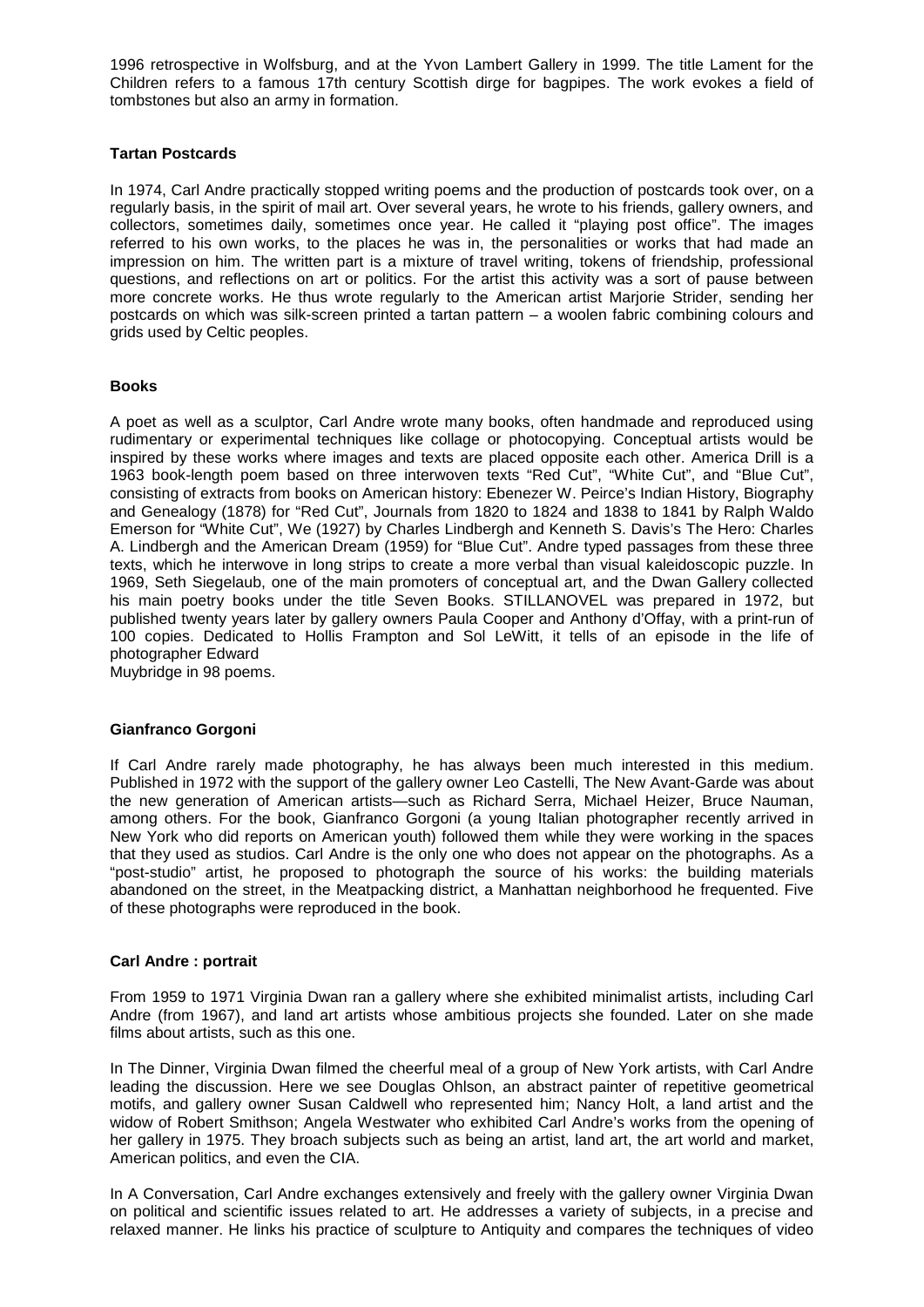1996 retrospective in Wolfsburg, and at the Yvon Lambert Gallery in 1999. The title Lament for the Children refers to a famous 17th century Scottish dirge for bagpipes. The work evokes a field of tombstones but also an army in formation.

#### **Tartan Postcards**

In 1974, Carl Andre practically stopped writing poems and the production of postcards took over, on a regularly basis, in the spirit of mail art. Over several years, he wrote to his friends, gallery owners, and collectors, sometimes daily, sometimes once year. He called it "playing post office". The images referred to his own works, to the places he was in, the personalities or works that had made an impression on him. The written part is a mixture of travel writing, tokens of friendship, professional questions, and reflections on art or politics. For the artist this activity was a sort of pause between more concrete works. He thus wrote regularly to the American artist Marjorie Strider, sending her postcards on which was silk-screen printed a tartan pattern – a woolen fabric combining colours and grids used by Celtic peoples.

#### **Books**

A poet as well as a sculptor, Carl Andre wrote many books, often handmade and reproduced using rudimentary or experimental techniques like collage or photocopying. Conceptual artists would be inspired by these works where images and texts are placed opposite each other. America Drill is a 1963 book-length poem based on three interwoven texts "Red Cut", "White Cut", and "Blue Cut", consisting of extracts from books on American history: Ebenezer W. Peirce's Indian History, Biography and Genealogy (1878) for "Red Cut", Journals from 1820 to 1824 and 1838 to 1841 by Ralph Waldo Emerson for "White Cut", We (1927) by Charles Lindbergh and Kenneth S. Davis's The Hero: Charles A. Lindbergh and the American Dream (1959) for "Blue Cut". Andre typed passages from these three texts, which he interwove in long strips to create a more verbal than visual kaleidoscopic puzzle. In 1969, Seth Siegelaub, one of the main promoters of conceptual art, and the Dwan Gallery collected his main poetry books under the title Seven Books. STILLANOVEL was prepared in 1972, but published twenty years later by gallery owners Paula Cooper and Anthony d'Offay, with a print-run of 100 copies. Dedicated to Hollis Frampton and Sol LeWitt, it tells of an episode in the life of photographer Edward

Muybridge in 98 poems.

#### **Gianfranco Gorgoni**

If Carl Andre rarely made photography, he has always been much interested in this medium. Published in 1972 with the support of the gallery owner Leo Castelli, The New Avant-Garde was about the new generation of American artists—such as Richard Serra, Michael Heizer, Bruce Nauman, among others. For the book, Gianfranco Gorgoni (a young Italian photographer recently arrived in New York who did reports on American youth) followed them while they were working in the spaces that they used as studios. Carl Andre is the only one who does not appear on the photographs. As a "post-studio" artist, he proposed to photograph the source of his works: the building materials abandoned on the street, in the Meatpacking district, a Manhattan neighborhood he frequented. Five of these photographs were reproduced in the book.

#### **Carl Andre : portrait**

From 1959 to 1971 Virginia Dwan ran a gallery where she exhibited minimalist artists, including Carl Andre (from 1967), and land art artists whose ambitious projects she founded. Later on she made films about artists, such as this one.

In The Dinner, Virginia Dwan filmed the cheerful meal of a group of New York artists, with Carl Andre leading the discussion. Here we see Douglas Ohlson, an abstract painter of repetitive geometrical motifs, and gallery owner Susan Caldwell who represented him; Nancy Holt, a land artist and the widow of Robert Smithson; Angela Westwater who exhibited Carl Andre's works from the opening of her gallery in 1975. They broach subjects such as being an artist, land art, the art world and market, American politics, and even the CIA.

In A Conversation, Carl Andre exchanges extensively and freely with the gallery owner Virginia Dwan on political and scientific issues related to art. He addresses a variety of subjects, in a precise and relaxed manner. He links his practice of sculpture to Antiquity and compares the techniques of video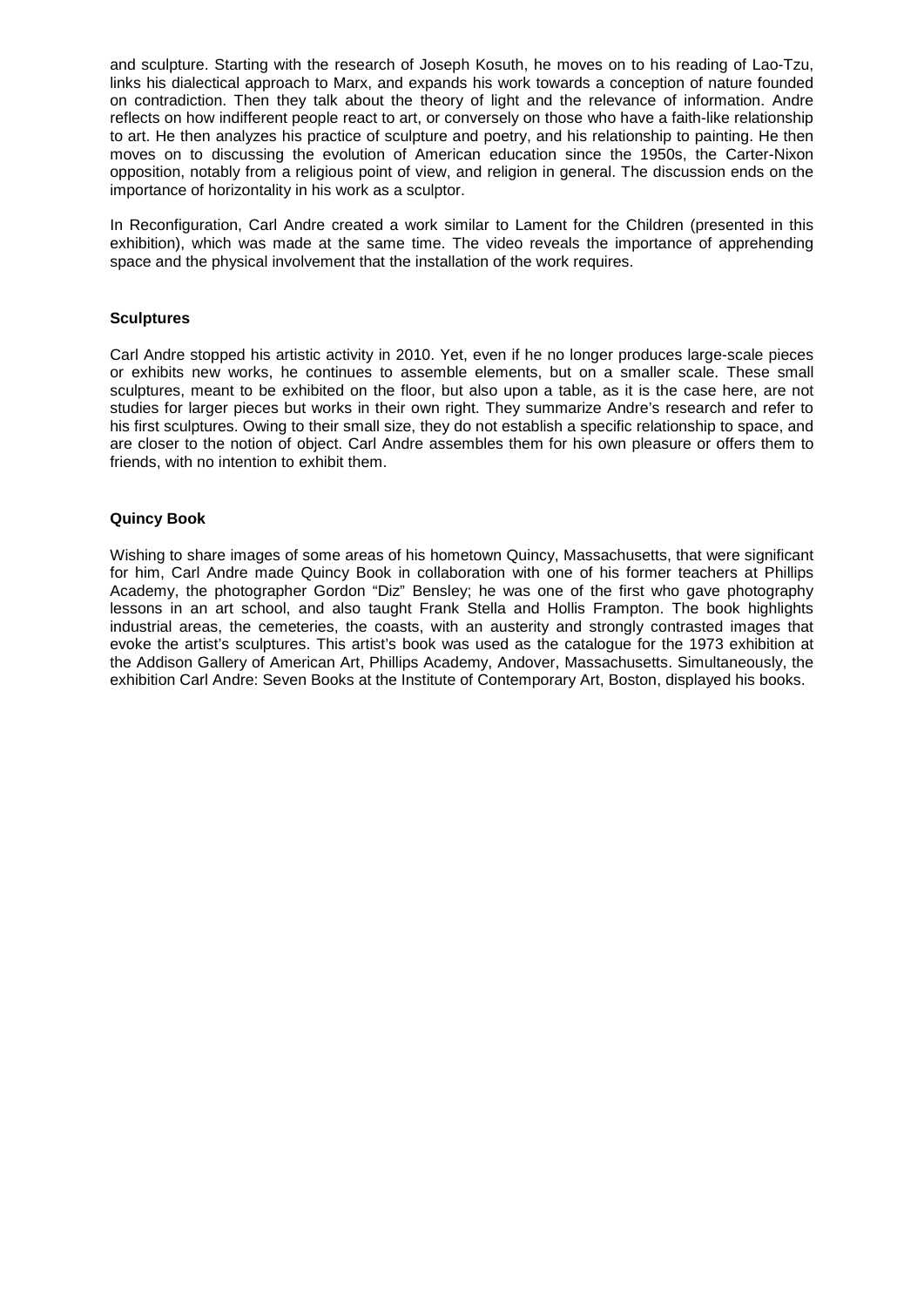and sculpture. Starting with the research of Joseph Kosuth, he moves on to his reading of Lao-Tzu, links his dialectical approach to Marx, and expands his work towards a conception of nature founded on contradiction. Then they talk about the theory of light and the relevance of information. Andre reflects on how indifferent people react to art, or conversely on those who have a faith-like relationship to art. He then analyzes his practice of sculpture and poetry, and his relationship to painting. He then moves on to discussing the evolution of American education since the 1950s, the Carter-Nixon opposition, notably from a religious point of view, and religion in general. The discussion ends on the importance of horizontality in his work as a sculptor.

In Reconfiguration, Carl Andre created a work similar to Lament for the Children (presented in this exhibition), which was made at the same time. The video reveals the importance of apprehending space and the physical involvement that the installation of the work requires.

#### **Sculptures**

Carl Andre stopped his artistic activity in 2010. Yet, even if he no longer produces large-scale pieces or exhibits new works, he continues to assemble elements, but on a smaller scale. These small sculptures, meant to be exhibited on the floor, but also upon a table, as it is the case here, are not studies for larger pieces but works in their own right. They summarize Andre's research and refer to his first sculptures. Owing to their small size, they do not establish a specific relationship to space, and are closer to the notion of object. Carl Andre assembles them for his own pleasure or offers them to friends, with no intention to exhibit them.

#### **Quincy Book**

Wishing to share images of some areas of his hometown Quincy, Massachusetts, that were significant for him, Carl Andre made Quincy Book in collaboration with one of his former teachers at Phillips Academy, the photographer Gordon "Diz" Bensley; he was one of the first who gave photography lessons in an art school, and also taught Frank Stella and Hollis Frampton. The book highlights industrial areas, the cemeteries, the coasts, with an austerity and strongly contrasted images that evoke the artist's sculptures. This artist's book was used as the catalogue for the 1973 exhibition at the Addison Gallery of American Art, Phillips Academy, Andover, Massachusetts. Simultaneously, the exhibition Carl Andre: Seven Books at the Institute of Contemporary Art, Boston, displayed his books.